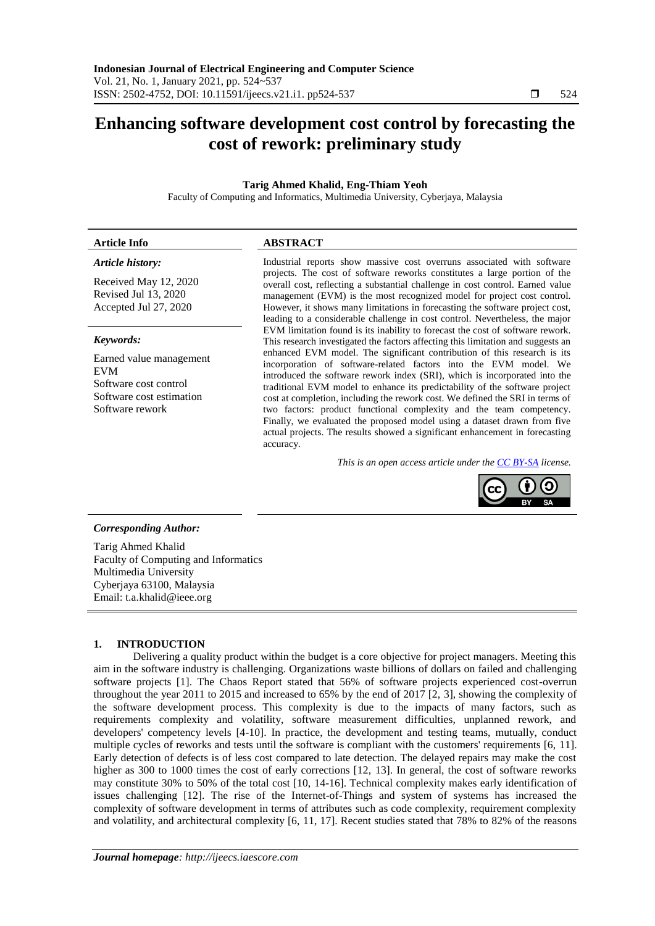# **Enhancing software development cost control by forecasting the cost of rework: preliminary study**

## **Tarig Ahmed Khalid, Eng-Thiam Yeoh**

Faculty of Computing and Informatics, Multimedia University, Cyberjaya, Malaysia

#### **Article Info ABSTRACT**

## *Article history:*

Received May 12, 2020 Revised Jul 13, 2020 Accepted Jul 27, 2020

## *Keywords:*

Earned value management EVM Software cost control Software cost estimation Software rework

Industrial reports show massive cost overruns associated with software projects. The cost of software reworks constitutes a large portion of the overall cost, reflecting a substantial challenge in cost control. Earned value management (EVM) is the most recognized model for project cost control. However, it shows many limitations in forecasting the software project cost, leading to a considerable challenge in cost control. Nevertheless, the major EVM limitation found is its inability to forecast the cost of software rework. This research investigated the factors affecting this limitation and suggests an enhanced EVM model. The significant contribution of this research is its incorporation of software-related factors into the EVM model. We introduced the software rework index (SRI), which is incorporated into the traditional EVM model to enhance its predictability of the software project cost at completion, including the rework cost. We defined the SRI in terms of two factors: product functional complexity and the team competency. Finally, we evaluated the proposed model using a dataset drawn from five actual projects. The results showed a significant enhancement in forecasting accuracy.

*This is an open access article under the [CC BY-SA](https://creativecommons.org/licenses/by-sa/4.0/) license.*



## *Corresponding Author:*

Tarig Ahmed Khalid Faculty of Computing and Informatics Multimedia University Cyberjaya 63100, Malaysia Email: t.a.khalid@ieee.org

## **1. INTRODUCTION**

Delivering a quality product within the budget is a core objective for project managers. Meeting this aim in the software industry is challenging. Organizations waste billions of dollars on failed and challenging software projects [1]. The Chaos Report stated that 56% of software projects experienced cost-overrun throughout the year 2011 to 2015 and increased to 65% by the end of 2017 [2, 3], showing the complexity of the software development process. This complexity is due to the impacts of many factors, such as requirements complexity and volatility, software measurement difficulties, unplanned rework, and developers' competency levels [4-10]. In practice, the development and testing teams, mutually, conduct multiple cycles of reworks and tests until the software is compliant with the customers' requirements [6, 11]. Early detection of defects is of less cost compared to late detection. The delayed repairs may make the cost higher as 300 to 1000 times the cost of early corrections [12, 13]. In general, the cost of software reworks may constitute 30% to 50% of the total cost [10, 14-16]. Technical complexity makes early identification of issues challenging [12]. The rise of the Internet-of-Things and system of systems has increased the complexity of software development in terms of attributes such as code complexity, requirement complexity and volatility, and architectural complexity [6, 11, 17]. Recent studies stated that 78% to 82% of the reasons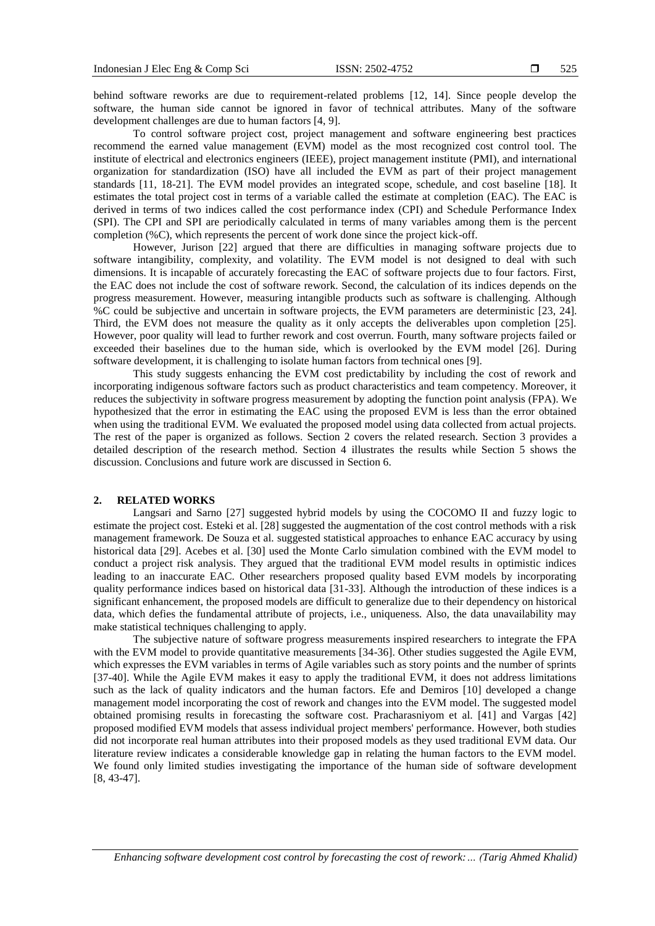behind software reworks are due to requirement-related problems [12, 14]. Since people develop the software, the human side cannot be ignored in favor of technical attributes. Many of the software development challenges are due to human factors [4, 9].

To control software project cost, project management and software engineering best practices recommend the earned value management (EVM) model as the most recognized cost control tool. The institute of electrical and electronics engineers (IEEE), project management institute (PMI), and international organization for standardization (ISO) have all included the EVM as part of their project management standards [11, 18-21]. The EVM model provides an integrated scope, schedule, and cost baseline [18]. It estimates the total project cost in terms of a variable called the estimate at completion (EAC). The EAC is derived in terms of two indices called the cost performance index (CPI) and Schedule Performance Index (SPI). The CPI and SPI are periodically calculated in terms of many variables among them is the percent completion (%C), which represents the percent of work done since the project kick-off.

However, Jurison [22] argued that there are difficulties in managing software projects due to software intangibility, complexity, and volatility. The EVM model is not designed to deal with such dimensions. It is incapable of accurately forecasting the EAC of software projects due to four factors. First, the EAC does not include the cost of software rework. Second, the calculation of its indices depends on the progress measurement. However, measuring intangible products such as software is challenging. Although %C could be subjective and uncertain in software projects, the EVM parameters are deterministic [23, 24]. Third, the EVM does not measure the quality as it only accepts the deliverables upon completion [25]. However, poor quality will lead to further rework and cost overrun. Fourth, many software projects failed or exceeded their baselines due to the human side, which is overlooked by the EVM model [26]. During software development, it is challenging to isolate human factors from technical ones [9].

This study suggests enhancing the EVM cost predictability by including the cost of rework and incorporating indigenous software factors such as product characteristics and team competency. Moreover, it reduces the subjectivity in software progress measurement by adopting the function point analysis (FPA). We hypothesized that the error in estimating the EAC using the proposed EVM is less than the error obtained when using the traditional EVM. We evaluated the proposed model using data collected from actual projects. The rest of the paper is organized as follows. Section 2 covers the related research. Section 3 provides a detailed description of the research method. Section 4 illustrates the results while Section 5 shows the discussion. Conclusions and future work are discussed in Section 6.

### **2. RELATED WORKS**

Langsari and Sarno [27] suggested hybrid models by using the COCOMO II and fuzzy logic to estimate the project cost. Esteki et al. [28] suggested the augmentation of the cost control methods with a risk management framework. De Souza et al. suggested statistical approaches to enhance EAC accuracy by using historical data [29]. Acebes et al. [30] used the Monte Carlo simulation combined with the EVM model to conduct a project risk analysis. They argued that the traditional EVM model results in optimistic indices leading to an inaccurate EAC. Other researchers proposed quality based EVM models by incorporating quality performance indices based on historical data [31-33]. Although the introduction of these indices is a significant enhancement, the proposed models are difficult to generalize due to their dependency on historical data, which defies the fundamental attribute of projects, i.e., uniqueness. Also, the data unavailability may make statistical techniques challenging to apply.

The subjective nature of software progress measurements inspired researchers to integrate the FPA with the EVM model to provide quantitative measurements [34-36]. Other studies suggested the Agile EVM, which expresses the EVM variables in terms of Agile variables such as story points and the number of sprints [37-40]. While the Agile EVM makes it easy to apply the traditional EVM, it does not address limitations such as the lack of quality indicators and the human factors. Efe and Demiros [10] developed a change management model incorporating the cost of rework and changes into the EVM model. The suggested model obtained promising results in forecasting the software cost. Pracharasniyom et al. [41] and Vargas [42] proposed modified EVM models that assess individual project members' performance. However, both studies did not incorporate real human attributes into their proposed models as they used traditional EVM data. Our literature review indicates a considerable knowledge gap in relating the human factors to the EVM model. We found only limited studies investigating the importance of the human side of software development [8, 43-47].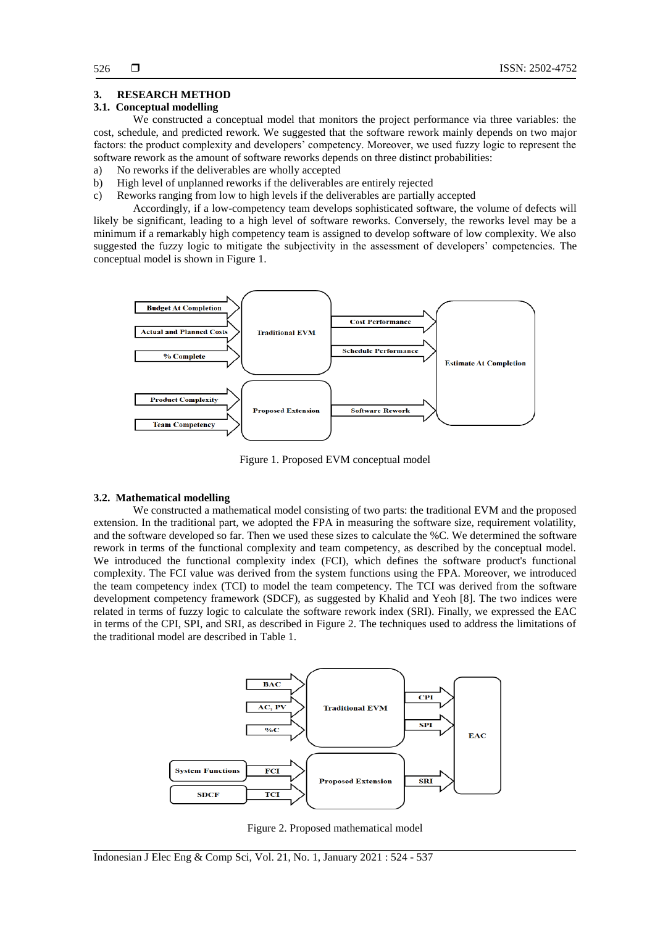## **3. RESEARCH METHOD**

#### **3.1. Conceptual modelling**

We constructed a conceptual model that monitors the project performance via three variables: the cost, schedule, and predicted rework. We suggested that the software rework mainly depends on two major factors: the product complexity and developers' competency. Moreover, we used fuzzy logic to represent the software rework as the amount of software reworks depends on three distinct probabilities:

- a) No reworks if the deliverables are wholly accepted
- b) High level of unplanned reworks if the deliverables are entirely rejected
- c) Reworks ranging from low to high levels if the deliverables are partially accepted

Accordingly, if a low-competency team develops sophisticated software, the volume of defects will likely be significant, leading to a high level of software reworks. Conversely, the reworks level may be a minimum if a remarkably high competency team is assigned to develop software of low complexity. We also suggested the fuzzy logic to mitigate the subjectivity in the assessment of developers' competencies. The conceptual model is shown in Figure 1.



Figure 1. Proposed EVM conceptual model

#### **3.2. Mathematical modelling**

We constructed a mathematical model consisting of two parts: the traditional EVM and the proposed extension. In the traditional part, we adopted the FPA in measuring the software size, requirement volatility, and the software developed so far. Then we used these sizes to calculate the %C. We determined the software rework in terms of the functional complexity and team competency, as described by the conceptual model. We introduced the functional complexity index (FCI), which defines the software product's functional complexity. The FCI value was derived from the system functions using the FPA. Moreover, we introduced the team competency index (TCI) to model the team competency. The TCI was derived from the software development competency framework (SDCF), as suggested by Khalid and Yeoh [8]. The two indices were related in terms of fuzzy logic to calculate the software rework index (SRI). Finally, we expressed the EAC in terms of the CPI, SPI, and SRI, as described in Figure 2. The techniques used to address the limitations of the traditional model are described in Table 1.



Figure 2. Proposed mathematical model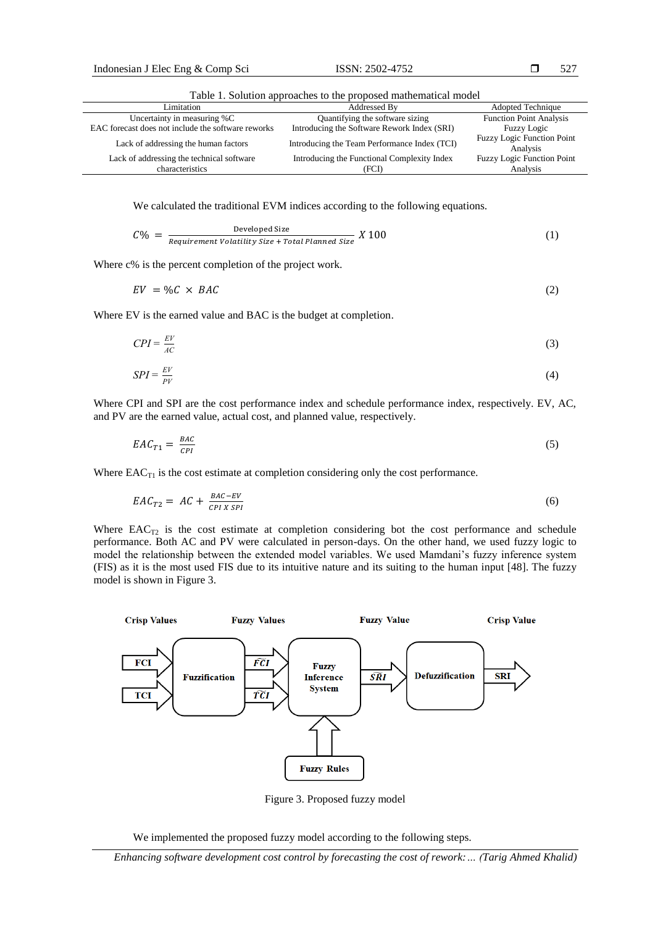Table 1. Solution approaches to the proposed mathematical model

| TWOTA TI PLANARINI MPDTAMATAR AA NYA PYARANA TIIMITAN'I INDRAT |                                              |                                               |  |  |  |
|----------------------------------------------------------------|----------------------------------------------|-----------------------------------------------|--|--|--|
| Limitation                                                     | Addressed By                                 | <b>Adopted Technique</b>                      |  |  |  |
| Uncertainty in measuring %C                                    | Quantifying the software sizing              | <b>Function Point Analysis</b>                |  |  |  |
| EAC forecast does not include the software reworks             | Introducing the Software Rework Index (SRI)  | Fuzzy Logic                                   |  |  |  |
| Lack of addressing the human factors                           | Introducing the Team Performance Index (TCI) | <b>Fuzzy Logic Function Point</b><br>Analysis |  |  |  |
| Lack of addressing the technical software                      | Introducing the Functional Complexity Index  | Fuzzy Logic Function Point                    |  |  |  |
| characteristics                                                | (FCI)                                        | Analysis                                      |  |  |  |

We calculated the traditional EVM indices according to the following equations.

$$
C\% = \frac{\text{Developed Size}}{\text{Required Value of } (1)}
$$
 (1)

Where c% is the percent completion of the project work.

$$
EV = \%C \times BAC \tag{2}
$$

Where EV is the earned value and BAC is the budget at completion.

$$
CPI = \frac{EV}{AC}
$$
 (3)

$$
SPI = \frac{EV}{PV}
$$
 (4)

Where CPI and SPI are the cost performance index and schedule performance index, respectively. EV, AC, and PV are the earned value, actual cost, and planned value, respectively.

$$
EAC_{T1} = \frac{BAC}{CPI} \tag{5}
$$

Where  $EAC_{T1}$  is the cost estimate at completion considering only the cost performance.

$$
EAC_{T2} = AC + \frac{BAC - EV}{CPI X SPI} \tag{6}
$$

Where  $EAC_{T2}$  is the cost estimate at completion considering bot the cost performance and schedule performance. Both AC and PV were calculated in person-days. On the other hand, we used fuzzy logic to model the relationship between the extended model variables. We used Mamdani's fuzzy inference system (FIS) as it is the most used FIS due to its intuitive nature and its suiting to the human input [48]. The fuzzy model is shown in Figure 3.



Figure 3. Proposed fuzzy model

We implemented the proposed fuzzy model according to the following steps.

*Enhancing software development cost control by forecasting the cost of rework:… (Tarig Ahmed Khalid)*

527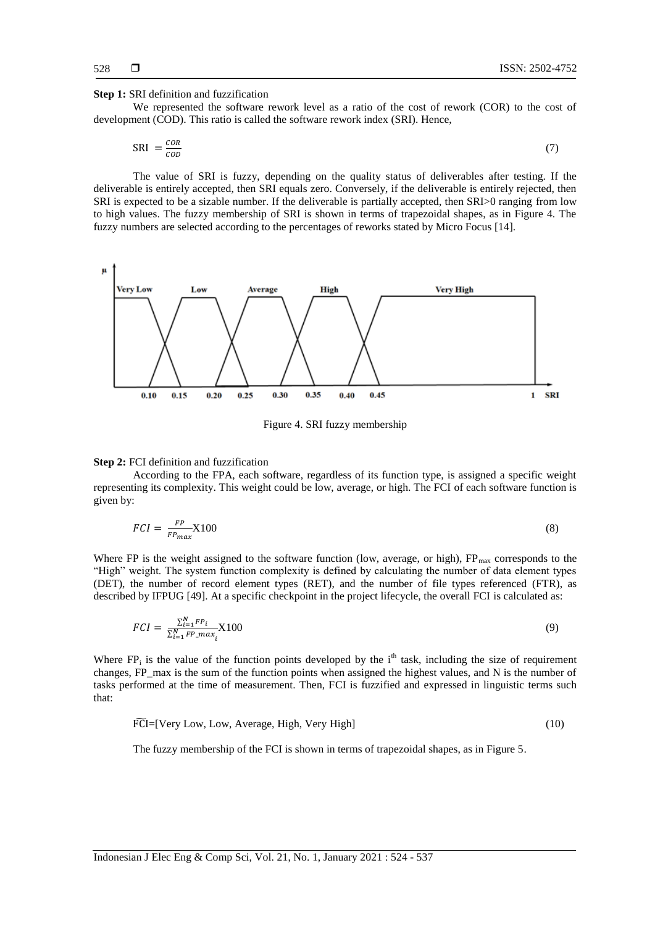#### **Step 1:** SRI definition and fuzzification

We represented the software rework level as a ratio of the cost of rework (COR) to the cost of development (COD). This ratio is called the software rework index (SRI). Hence,

$$
SRI = \frac{con}{con}
$$
 (7)

The value of SRI is fuzzy, depending on the quality status of deliverables after testing. If the deliverable is entirely accepted, then SRI equals zero. Conversely, if the deliverable is entirely rejected, then SRI is expected to be a sizable number. If the deliverable is partially accepted, then SRI>0 ranging from low to high values. The fuzzy membership of SRI is shown in terms of trapezoidal shapes, as in Figure 4. The fuzzy numbers are selected according to the percentages of reworks stated by Micro Focus [14].



Figure 4. SRI fuzzy membership

#### **Step 2:** FCI definition and fuzzification

According to the FPA, each software, regardless of its function type, is assigned a specific weight representing its complexity. This weight could be low, average, or high. The FCI of each software function is given by:

$$
FCI = \frac{FP}{FP_{max}} X100 \tag{8}
$$

Where FP is the weight assigned to the software function (low, average, or high),  $FP_{max}$  corresponds to the "High" weight. The system function complexity is defined by calculating the number of data element types (DET), the number of record element types (RET), and the number of file types referenced (FTR), as described by IFPUG [49]. At a specific checkpoint in the project lifecycle, the overall FCI is calculated as:

$$
FCI = \frac{\sum_{i=1}^{N} FP_i}{\sum_{i=1}^{N} FP\_max_i} X100
$$
\n
$$
(9)
$$

Where  $FP_i$  is the value of the function points developed by the i<sup>th</sup> task, including the size of requirement changes, FP\_max is the sum of the function points when assigned the highest values, and N is the number of tasks performed at the time of measurement. Then, FCI is fuzzified and expressed in linguistic terms such that:

$$
\widetilde{FCI} = [Very Low, Low, Average, High, Very High]
$$
\n
$$
(10)
$$

The fuzzy membership of the FCI is shown in terms of trapezoidal shapes, as in Figure 5.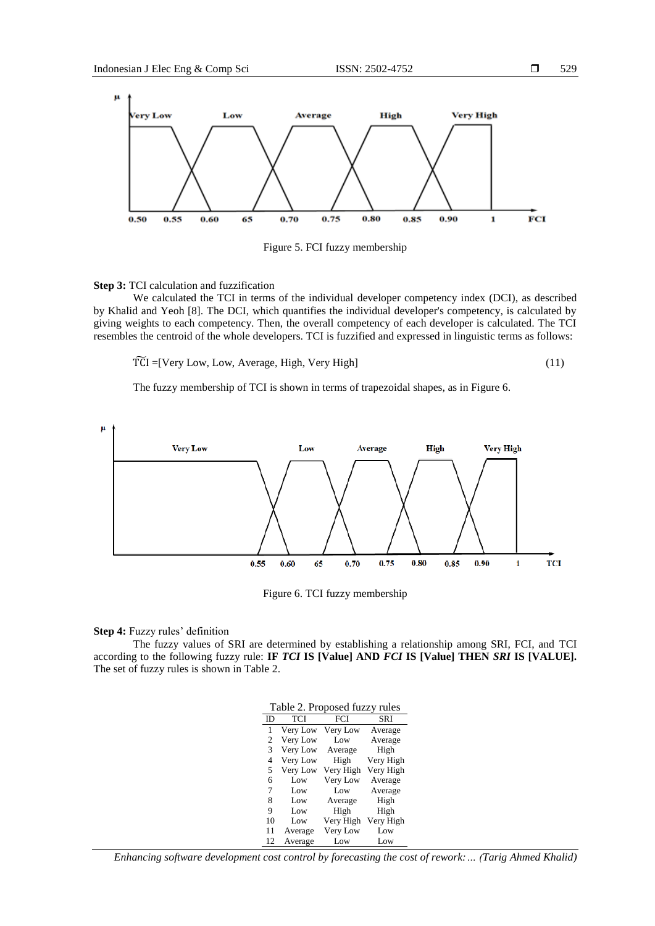

Figure 5. FCI fuzzy membership

## **Step 3:** TCI calculation and fuzzification

We calculated the TCI in terms of the individual developer competency index (DCI), as described by Khalid and Yeoh [8]. The DCI, which quantifies the individual developer's competency, is calculated by giving weights to each competency. Then, the overall competency of each developer is calculated. The TCI resembles the centroid of the whole developers. TCI is fuzzified and expressed in linguistic terms as follows:

$$
\widetilde{TCI} = [Very Low, Low, Average, High, Very High] \tag{11}
$$

The fuzzy membership of TCI is shown in terms of trapezoidal shapes, as in Figure 6.



Figure 6. TCI fuzzy membership

## **Step 4:** Fuzzy rules' definition

The fuzzy values of SRI are determined by establishing a relationship among SRI, FCI, and TCI according to the following fuzzy rule: **IF** *TCI* **IS [Value] AND** *FCI* **IS [Value] THEN** *SRI* **IS [VALUE].** The set of fuzzy rules is shown in Table 2.

|  |  | Table 2. Proposed fuzzy rules |
|--|--|-------------------------------|
|--|--|-------------------------------|

| ID | TCI      | FCI       | SRI       |
|----|----------|-----------|-----------|
| 1  | Very Low | Very Low  | Average   |
| 2  | Very Low | Low       | Average   |
| 3  | Very Low | Average   | High      |
| 4  | Very Low | High      | Very High |
| 5  | Very Low | Very High | Very High |
| 6  | Low      | Very Low  | Average   |
| 7  | Low      | Low       | Average   |
| 8  | Low      | Average   | High      |
| 9  | Low      | High      | High      |
| 10 | Low      | Very High | Very High |
| 11 | Average  | Very Low  | Low       |
| 12 | Average  | Low       | Low       |

*Enhancing software development cost control by forecasting the cost of rework:… (Tarig Ahmed Khalid)*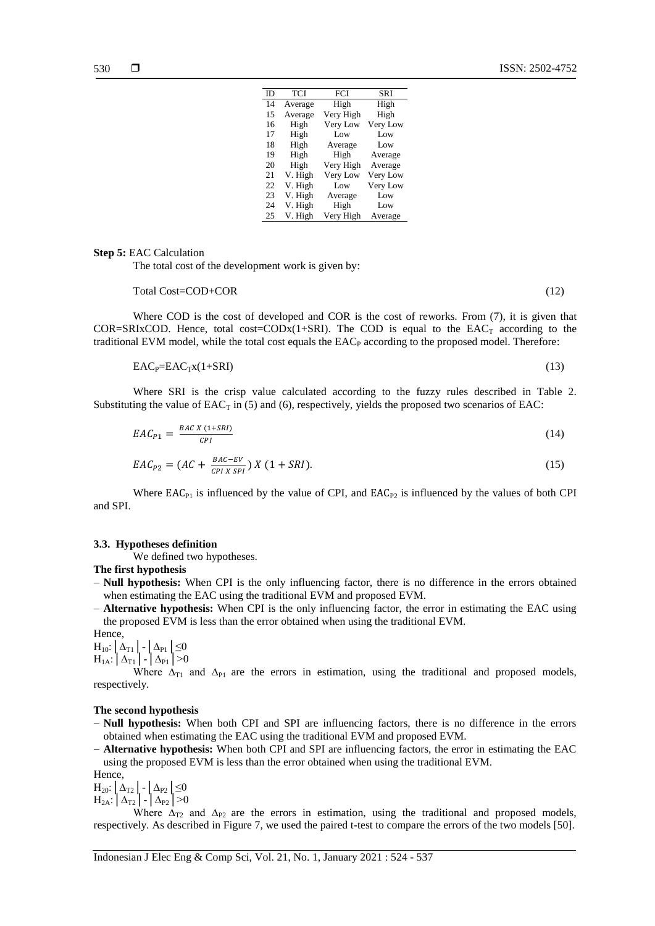| ID | <b>TCI</b> | FCI       | SRI      |
|----|------------|-----------|----------|
| 14 | Average    | High      | High     |
| 15 | Average    | Very High | High     |
| 16 | High       | Very Low  | Very Low |
| 17 | High       | Low       | Low      |
| 18 | High       | Average   | Low      |
| 19 | High       | High      | Average  |
| 20 | High       | Very High | Average  |
| 21 | V. High    | Very Low  | Very Low |
| 22 | V. High    | Low       | Very Low |
| 23 | V. High    | Average   | Low      |
| 24 | V. High    | High      | Low      |
| 25 | V. High    | Very High | Average  |

#### **Step 5:** EAC Calculation

The total cost of the development work is given by:

#### Total Cost=COD+COR (12)

Where COD is the cost of developed and COR is the cost of reworks. From  $(7)$ , it is given that COR=SRIxCOD. Hence, total cost=CODx(1+SRI). The COD is equal to the  $EAC_T$  according to the traditional EVM model, while the total cost equals the EAC<sub>P</sub> according to the proposed model. Therefore:

$$
EACP=EACTx(1+SRI)
$$
 (13)

Where SRI is the crisp value calculated according to the fuzzy rules described in Table 2. Substituting the value of  $EAC_T$  in (5) and (6), respectively, yields the proposed two scenarios of EAC:

$$
EAC_{P1} = \frac{BAC X (1+SRI)}{CPI} \tag{14}
$$

$$
EAC_{P2} = (AC + \frac{BAC - EV}{CPI X SPI}) X (1 + SRI). \tag{15}
$$

Where  $EAC_{P1}$  is influenced by the value of CPI, and  $EAC_{P2}$  is influenced by the values of both CPI and SPI.

**3.3. Hypotheses definition**

We defined two hypotheses.

#### **The first hypothesis**

 **Null hypothesis:** When CPI is the only influencing factor, there is no difference in the errors obtained when estimating the EAC using the traditional EVM and proposed EVM.

 **Alternative hypothesis:** When CPI is the only influencing factor, the error in estimating the EAC using the proposed EVM is less than the error obtained when using the traditional EVM.

Hence,  $\mathrm{H}_{10}: \left[ \Delta_{\mathrm{T1}} \right.\left| \right. - \left[ \Delta_{\mathrm{P1}} \right.\left| \leq 0 \right]$  $\rm H_{1A}\colon \big|\, \Delta_{T1}\,\big|\cdot\big|\, \Delta_{P1}\,\big| \!>\!0$ 

Where  $\Delta_{T1}$  and  $\Delta_{P1}$  are the errors in estimation, using the traditional and proposed models, respectively.

#### **The second hypothesis**

 **Null hypothesis:** When both CPI and SPI are influencing factors, there is no difference in the errors obtained when estimating the EAC using the traditional EVM and proposed EVM.

 **Alternative hypothesis:** When both CPI and SPI are influencing factors, the error in estimating the EAC using the proposed EVM is less than the error obtained when using the traditional EVM.

Hence,  $H_{20}$ :  $\left[\Delta_{T2}\right]$  -  $\left[\Delta_{P2}\right] \leq 0$ 

 $H_{2A}:|\Delta_{T2}|$  -  $|\Delta_{P2}|>0$ 

Where  $\Delta_{T2}$  and  $\Delta_{P2}$  are the errors in estimation, using the traditional and proposed models, respectively. As described in Figure 7, we used the paired t-test to compare the errors of the two models [50].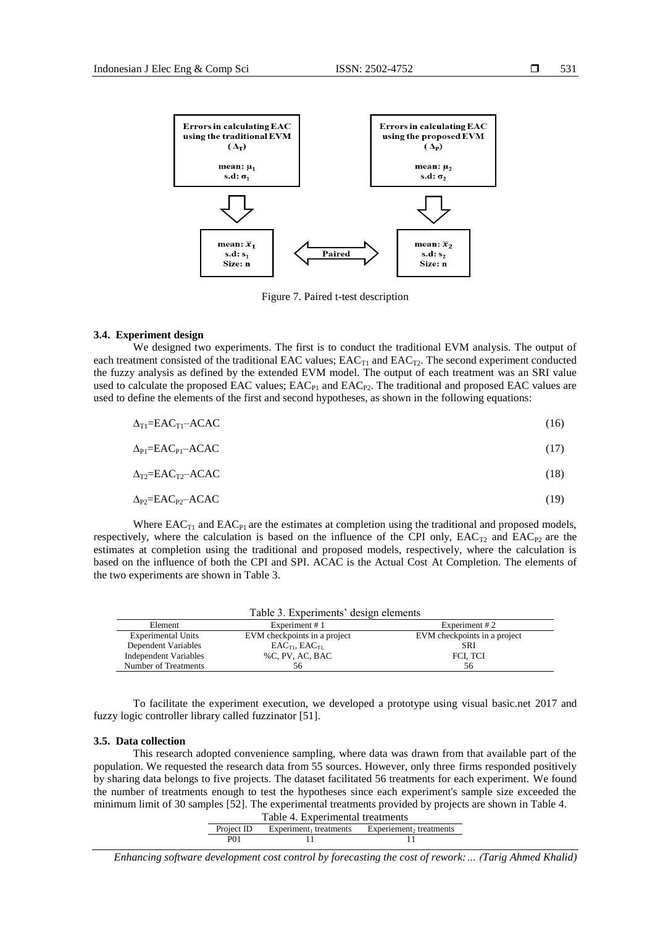

Figure 7. Paired t-test description

#### **3.4. Experiment design**

We designed two experiments. The first is to conduct the traditional EVM analysis. The output of each treatment consisted of the traditional EAC values;  $EAC_{T1}$  and  $EAC_{T2}$ . The second experiment conducted the fuzzy analysis as defined by the extended EVM model. The output of each treatment was an SRI value used to calculate the proposed EAC values;  $EAC<sub>P1</sub>$  and  $EAC<sub>P2</sub>$ . The traditional and proposed EAC values are used to define the elements of the first and second hypotheses, as shown in the following equations:

| $\Delta_{\text{TI}} = \text{EAC}_{\text{TI}} - \text{ACAC}$ | (16) |
|-------------------------------------------------------------|------|
| $\Delta_{\rm Pl} = EAC_{\rm Pl} - ACAC$                     | (17) |
| $\Delta_{T2} = EAC_{T2} - ACAC$                             | (18) |
| $\Delta_{P2} = EAC_{P2} - ACAC$                             | (19) |

Where  $EAC_{T1}$  and  $EAC_{P1}$  are the estimates at completion using the traditional and proposed models, respectively, where the calculation is based on the influence of the CPI only,  $EAC_{T2}$  and  $EAC_{P2}$  are the estimates at completion using the traditional and proposed models, respectively, where the calculation is based on the influence of both the CPI and SPI. ACAC is the Actual Cost At Completion. The elements of the two experiments are shown in Table 3.

| Table 3. Experiments' design elements       |                              |                              |  |  |
|---------------------------------------------|------------------------------|------------------------------|--|--|
| Element<br>Experiment #2<br>Experiment $#1$ |                              |                              |  |  |
| <b>Experimental Units</b>                   | EVM checkpoints in a project | EVM checkpoints in a project |  |  |
| Dependent Variables                         | $EAC_{T1}$ , $EAC_{T1}$      | SRI                          |  |  |
| Independent Variables                       | %C, PV, AC, BAC              | FCI, TCI                     |  |  |
| Number of Treatments                        | 56                           | 56                           |  |  |

To facilitate the experiment execution, we developed a prototype using visual basic.net 2017 and fuzzy logic controller library called fuzzinator [51].

#### **3.5. Data collection**

This research adopted convenience sampling, where data was drawn from that available part of the population. We requested the research data from 55 sources. However, only three firms responded positively by sharing data belongs to five projects. The dataset facilitated 56 treatments for each experiment. We found the number of treatments enough to test the hypotheses since each experiment's sample size exceeded the minimum limit of 30 samples [52]. The experimental treatments provided by projects are shown in Table 4.

| Table 4. Experimental treatments                                            |  |  |  |
|-----------------------------------------------------------------------------|--|--|--|
| Experiement, treatments<br>Project ID<br>Experiment <sub>1</sub> treatments |  |  |  |
| <b>P</b> 01                                                                 |  |  |  |

*Enhancing software development cost control by forecasting the cost of rework:… (Tarig Ahmed Khalid)*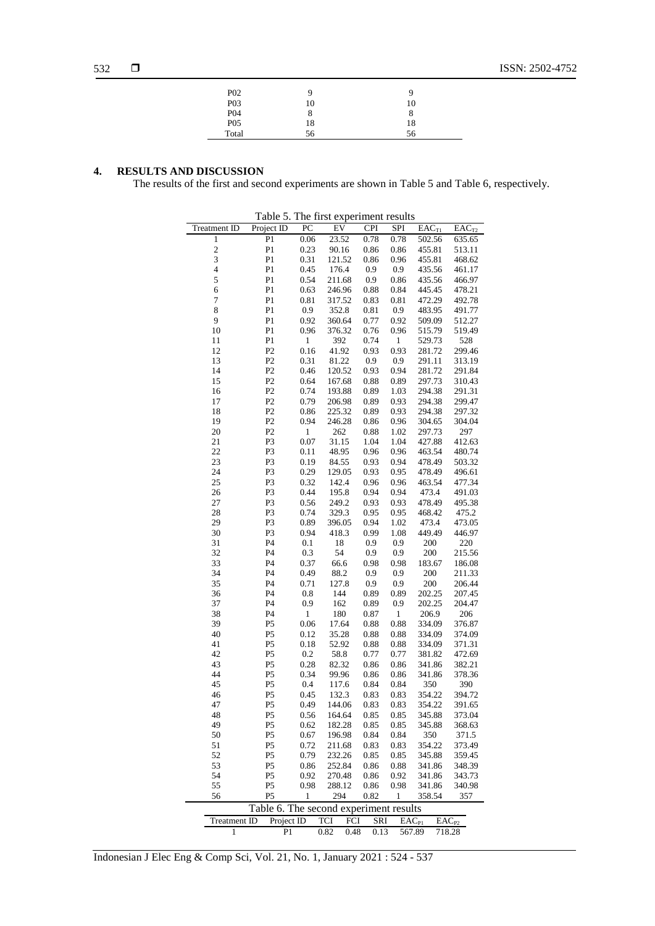| P <sub>02</sub>  |    |    |
|------------------|----|----|
| P <sub>0</sub> 3 | 10 | 10 |
| P <sub>04</sub>  | 8  | 8  |
| $P_{05}$         | 18 | 18 |
| Total            | 56 | 56 |
|                  |    |    |

## **4. RESULTS AND DISCUSSION**

The results of the first and second experiments are shown in Table 5 and Table 6, respectively.

| Treatment ID        | Project ID                             | PC           | ${\rm EV}$    | <b>CPI</b>   | SPI          | $EAC_{T1}$        | $\overline{E}AC_{T2}$ |
|---------------------|----------------------------------------|--------------|---------------|--------------|--------------|-------------------|-----------------------|
| $\,1$               | P <sub>1</sub>                         | 0.06         | 23.52         | 0.78         | 0.78         | 502.56            | 635.65                |
|                     | P <sub>1</sub>                         | 0.23         | 90.16         | 0.86         | 0.86         | 455.81            | 513.11                |
| $\frac{2}{3}$       | P <sub>1</sub>                         | 0.31         | 121.52        | 0.86         | 0.96         | 455.81            | 468.62                |
| $\overline{4}$      | P <sub>1</sub>                         | 0.45         | 176.4         | 0.9          | 0.9          | 435.56            | 461.17                |
| 5                   | P <sub>1</sub>                         | 0.54         | 211.68        | 0.9          | 0.86         | 435.56            | 466.97                |
| 6                   | P <sub>1</sub>                         | 0.63         | 246.96        | 0.88         | 0.84         | 445.45            | 478.21                |
| $\overline{7}$      | P1                                     | 0.81         | 317.52        | 0.83         | 0.81         | 472.29            | 492.78                |
| 8                   | P <sub>1</sub>                         | 0.9          | 352.8         | 0.81         | 0.9          | 483.95            | 491.77                |
| 9                   | P <sub>1</sub>                         | 0.92         | 360.64        | 0.77         | 0.92         | 509.09            | 512.27                |
| 10                  | P <sub>1</sub>                         | 0.96         | 376.32        | 0.76         | 0.96         | 515.79            | 519.49                |
| 11                  | P <sub>1</sub>                         | $\mathbf{1}$ | 392           | 0.74         | $\mathbf{1}$ | 529.73            | 528                   |
| 12                  | P2                                     | 0.16         | 41.92         | 0.93         | 0.93         | 281.72            | 299.46                |
| 13                  | P2                                     | 0.31         | 81.22         | 0.9          | 0.9          | 291.11            | 313.19                |
| 14                  | P2                                     | 0.46         | 120.52        | 0.93         | 0.94         | 281.72            | 291.84                |
| 15                  | P <sub>2</sub>                         | 0.64         | 167.68        | 0.88         | 0.89         | 297.73            | 310.43                |
| 16                  | P <sub>2</sub>                         | 0.74         | 193.88        | 0.89         | 1.03         | 294.38            | 291.31                |
| 17                  | P2                                     | 0.79         | 206.98        | 0.89         | 0.93         | 294.38            | 299.47                |
| 18                  | P2                                     | 0.86         | 225.32        | 0.89         | 0.93         | 294.38            | 297.32                |
| 19                  | P2                                     | 0.94         | 246.28        | 0.86         | 0.96         | 304.65            | 304.04                |
| 20                  | P <sub>2</sub>                         | 1            | 262           | 0.88         | 1.02         | 297.73            | 297                   |
| 21                  | P3                                     | 0.07         | 31.15         | 1.04         | 1.04         | 427.88            | 412.63                |
| 22                  | P <sub>3</sub>                         | 0.11         | 48.95         | 0.96         | 0.96         | 463.54            | 480.74                |
| 23                  | P <sub>3</sub>                         | 0.19         | 84.55         | 0.93         | 0.94         | 478.49            | 503.32                |
| 24                  | P3                                     | 0.29         | 129.05        | 0.93         | 0.95         | 478.49            | 496.61                |
| 25                  | P <sub>3</sub>                         | 0.32         | 142.4         | 0.96         | 0.96         | 463.54            | 477.34                |
| 26                  | P3                                     | 0.44         | 195.8         | 0.94         | 0.94         | 473.4             | 491.03                |
| 27                  | P3                                     | 0.56         | 249.2         | 0.93         | 0.93         | 478.49            | 495.38                |
| 28                  | P3                                     | 0.74         | 329.3         | 0.95         | 0.95         | 468.42            | 475.2                 |
| 29                  | P <sub>3</sub>                         | 0.89         | 396.05        | 0.94         | 1.02         | 473.4             | 473.05                |
| 30                  | P3                                     | 0.94         | 418.3         | 0.99         | 1.08         | 449.49            | 446.97                |
| 31                  | P4                                     | 0.1          | 18            | 0.9          |              | 200               | 220                   |
| 32                  | P <sub>4</sub>                         | 0.3          | 54            | 0.9          | 0.9          | 200               | 215.56                |
|                     |                                        |              |               |              | 0.9          |                   |                       |
| 33                  | P <sub>4</sub>                         | 0.37         | 66.6          | 0.98         | 0.98         | 183.67            | 186.08                |
| 34                  | P <sub>4</sub>                         | 0.49         | 88.2<br>127.8 | 0.9          | 0.9          | 200               | 211.33                |
| 35                  | P <sub>4</sub>                         | 0.71         |               | 0.9          | 0.9          | 200               | 206.44                |
| 36                  | P <sub>4</sub>                         | 0.8          | 144           | 0.89         | 0.89         | 202.25            | 207.45                |
| 37                  | P <sub>4</sub>                         | 0.9          | 162           | 0.89         | 0.9          | 202.25            | 204.47                |
| 38                  | P4                                     | 1            | 180           | 0.87         | $\mathbf{1}$ | 206.9             | 206                   |
| 39                  | P <sub>5</sub>                         | 0.06         | 17.64         | 0.88         | 0.88         | 334.09            | 376.87                |
| 40                  | P <sub>5</sub>                         | 0.12         | 35.28         | 0.88         | 0.88         | 334.09            | 374.09                |
| 41                  | P <sub>5</sub>                         | 0.18         | 52.92         | 0.88         | 0.88         | 334.09            | 371.31                |
| 42                  | P <sub>5</sub>                         | 0.2          | 58.8          | 0.77         | 0.77         | 381.82            | 472.69                |
| 43                  | P <sub>5</sub>                         | 0.28         | 82.32         | 0.86         | 0.86         | 341.86            | 382.21                |
| 44                  | P <sub>5</sub>                         | 0.34         | 99.96         | 0.86         | 0.86         | 341.86            | 378.36                |
| 45                  | P <sub>5</sub>                         | 0.4          | 117.6         | 0.84         | 0.84         | 350               | 390                   |
| 46                  | P <sub>5</sub>                         | 0.45         | 132.3         | 0.83         | 0.83         | 354.22            | 394.72                |
| 47                  | P <sub>5</sub>                         | 0.49         | 144.06        | 0.83         | 0.83         | 354.22            | 391.65                |
| 48                  | P5                                     | 0.56         | 164.64        | 0.85         | 0.85         | 345.88            | 373.04                |
| 49                  | P5                                     | 0.62         | 182.28        | 0.85         | 0.85         | 345.88            | 368.63                |
| 50                  | P5                                     | 0.67         | 196.98        | 0.84         | 0.84         | 350               | 371.5                 |
| 51                  | P <sub>5</sub>                         | 0.72         | 211.68        | 0.83         | 0.83         | 354.22            | 373.49                |
| 52                  | P5                                     | 0.79         | 232.26        | 0.85         | 0.85         | 345.88            | 359.45                |
| 53                  | P5                                     | 0.86         | 252.84        | 0.86         | 0.88         | 341.86            | 348.39                |
| 54                  | P <sub>5</sub>                         | 0.92         | 270.48        | 0.86         | 0.92         | 341.86            | 343.73                |
| 55                  | P <sub>5</sub>                         | 0.98         | 288.12        | 0.86         | 0.98         | 341.86            | 340.98                |
| 56                  | P <sub>5</sub>                         | 1            | 294           | 0.82         | 1            | 358.54            | 357                   |
|                     | Table 6. The second experiment results |              |               |              |              |                   |                       |
| <b>Treatment ID</b> | Project ID                             |              | <b>TCI</b>    | FCI<br>SRI   |              | EAC <sub>P1</sub> | $EAC_{P2}$            |
| 1                   | P <sub>1</sub>                         |              | 0.82          | 0.48<br>0.13 |              | 567.89            | 718.28                |

Table 5. The first experiment results

Indonesian J Elec Eng & Comp Sci, Vol. 21, No. 1, January 2021 : 524 - 537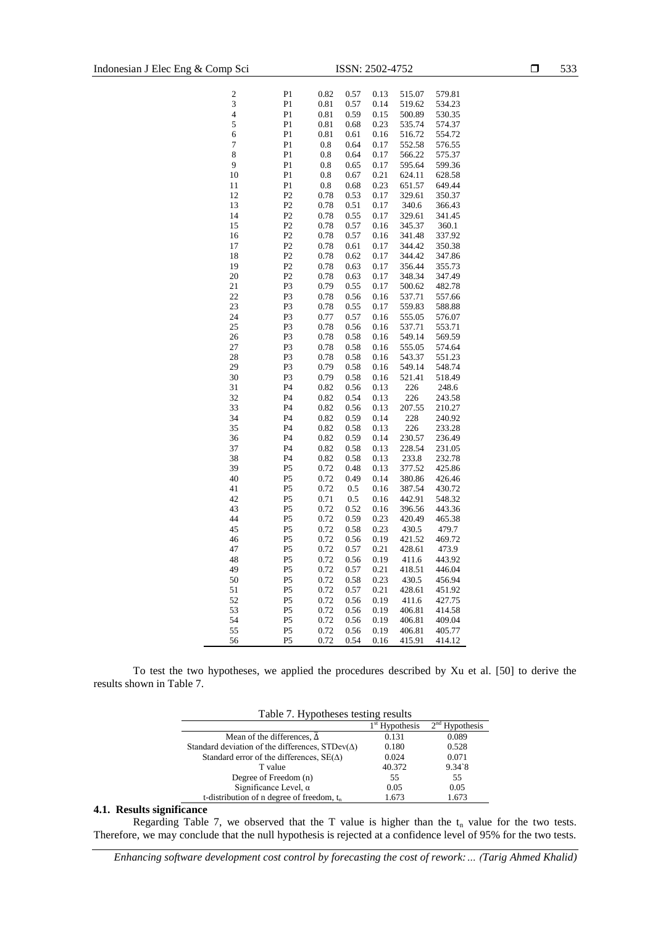| $\overline{\mathbf{c}}$ | P <sub>1</sub> | 0.82 | 0.57 | 0.13 | 515.07 | 579.81 |
|-------------------------|----------------|------|------|------|--------|--------|
| 3                       | P <sub>1</sub> | 0.81 | 0.57 | 0.14 | 519.62 | 534.23 |
| $\overline{\mathbf{4}}$ | P <sub>1</sub> | 0.81 | 0.59 | 0.15 | 500.89 | 530.35 |
| 5                       | P <sub>1</sub> | 0.81 | 0.68 | 0.23 | 535.74 | 574.37 |
| 6                       | P <sub>1</sub> | 0.81 | 0.61 | 0.16 | 516.72 | 554.72 |
| $\overline{7}$          | P <sub>1</sub> | 0.8  | 0.64 | 0.17 | 552.58 | 576.55 |
| 8                       | P <sub>1</sub> | 0.8  | 0.64 | 0.17 | 566.22 | 575.37 |
| 9                       | P <sub>1</sub> | 0.8  | 0.65 | 0.17 | 595.64 | 599.36 |
| 10                      | P <sub>1</sub> | 0.8  | 0.67 | 0.21 | 624.11 | 628.58 |
| 11                      | P <sub>1</sub> | 0.8  | 0.68 | 0.23 | 651.57 | 649.44 |
| 12                      | P2             | 0.78 | 0.53 | 0.17 | 329.61 | 350.37 |
| 13                      | P2             | 0.78 | 0.51 | 0.17 | 340.6  | 366.43 |
| 14                      | P2             | 0.78 | 0.55 | 0.17 | 329.61 | 341.45 |
| 15                      | P2             | 0.78 | 0.57 | 0.16 | 345.37 | 360.1  |
| 16                      | P <sub>2</sub> | 0.78 | 0.57 | 0.16 | 341.48 | 337.92 |
| 17                      | P2             | 0.78 | 0.61 | 0.17 | 344.42 | 350.38 |
| 18                      | P <sub>2</sub> | 0.78 | 0.62 | 0.17 | 344.42 | 347.86 |
| 19                      | P2             | 0.78 | 0.63 | 0.17 | 356.44 | 355.73 |
| 20                      | P <sub>2</sub> | 0.78 | 0.63 | 0.17 | 348.34 | 347.49 |
| 21                      | P3             | 0.79 | 0.55 | 0.17 | 500.62 | 482.78 |
| 22                      | P3             | 0.78 | 0.56 | 0.16 | 537.71 | 557.66 |
| 23                      | P <sub>3</sub> | 0.78 | 0.55 | 0.17 | 559.83 | 588.88 |
| 24                      | P3             | 0.77 | 0.57 | 0.16 | 555.05 | 576.07 |
| 25                      | P3             | 0.78 | 0.56 | 0.16 | 537.71 | 553.71 |
| 26                      | P <sub>3</sub> | 0.78 | 0.58 | 0.16 | 549.14 | 569.59 |
| 27                      | P3             | 0.78 | 0.58 | 0.16 | 555.05 | 574.64 |
| 28                      | P3             | 0.78 | 0.58 | 0.16 | 543.37 | 551.23 |
| 29                      | P <sub>3</sub> | 0.79 | 0.58 | 0.16 | 549.14 | 548.74 |
| 30                      | P3             | 0.79 | 0.58 | 0.16 | 521.41 | 518.49 |
| 31                      | P4             | 0.82 | 0.56 | 0.13 | 226    | 248.6  |
| 32                      | P4             | 0.82 | 0.54 | 0.13 | 226    | 243.58 |
| 33                      | P <sub>4</sub> | 0.82 | 0.56 | 0.13 | 207.55 | 210.27 |
| 34                      | P4             | 0.82 | 0.59 | 0.14 | 228    | 240.92 |
| 35                      | P <sub>4</sub> | 0.82 | 0.58 | 0.13 | 226    | 233.28 |
| 36                      | P <sub>4</sub> | 0.82 | 0.59 | 0.14 | 230.57 | 236.49 |
| 37                      | P <sub>4</sub> | 0.82 | 0.58 | 0.13 | 228.54 | 231.05 |
| 38                      | P <sub>4</sub> | 0.82 | 0.58 | 0.13 | 233.8  | 232.78 |
| 39                      | P <sub>5</sub> | 0.72 | 0.48 | 0.13 | 377.52 | 425.86 |
| 40                      | P <sub>5</sub> | 0.72 | 0.49 | 0.14 | 380.86 | 426.46 |
| 41                      | P <sub>5</sub> | 0.72 | 0.5  | 0.16 | 387.54 | 430.72 |
| 42                      | P <sub>5</sub> | 0.71 | 0.5  | 0.16 | 442.91 | 548.32 |
| 43                      | P <sub>5</sub> | 0.72 | 0.52 | 0.16 | 396.56 | 443.36 |
| 44                      | P <sub>5</sub> | 0.72 | 0.59 | 0.23 | 420.49 | 465.38 |
| 45                      | P <sub>5</sub> | 0.72 | 0.58 | 0.23 | 430.5  | 479.7  |
| 46                      | P <sub>5</sub> | 0.72 | 0.56 | 0.19 | 421.52 | 469.72 |
| 47                      | P <sub>5</sub> | 0.72 | 0.57 | 0.21 | 428.61 | 473.9  |
| 48                      | P <sub>5</sub> | 0.72 | 0.56 | 0.19 | 411.6  | 443.92 |
| 49                      | P <sub>5</sub> | 0.72 | 0.57 | 0.21 | 418.51 | 446.04 |
| 50                      | P <sub>5</sub> | 0.72 | 0.58 | 0.23 | 430.5  | 456.94 |
| 51                      | P <sub>5</sub> | 0.72 | 0.57 | 0.21 | 428.61 | 451.92 |
| 52                      | P <sub>5</sub> | 0.72 | 0.56 | 0.19 | 411.6  | 427.75 |
| 53                      | P <sub>5</sub> | 0.72 | 0.56 | 0.19 | 406.81 | 414.58 |
| 54                      | P5             | 0.72 | 0.56 | 0.19 | 406.81 | 409.04 |
| 55                      | P <sub>5</sub> | 0.72 | 0.56 | 0.19 | 406.81 | 405.77 |
| 56                      | P5             | 0.72 | 0.54 | 0.16 | 415.91 | 414.12 |

To test the two hypotheses, we applied the procedures described by Xu et al. [50] to derive the results shown in Table 7.

| Table 7. Hypotheses testing results                    |        |          |  |  |  |
|--------------------------------------------------------|--------|----------|--|--|--|
| $2nd$ Hypothesis<br>$1st$ Hypothesis                   |        |          |  |  |  |
| Mean of the differences, $\Delta$                      | 0.131  | 0.089    |  |  |  |
| Standard deviation of the differences, $STDev(\Delta)$ | 0.180  | 0.528    |  |  |  |
| Standard error of the differences, $SE(\Delta)$        | 0.024  | 0.071    |  |  |  |
| T value                                                | 40.372 | $9.34$ 8 |  |  |  |
| Degree of Freedom (n)                                  | 55     | 55       |  |  |  |
| Significance Level, $\alpha$                           | 0.05   | 0.05     |  |  |  |
| t-distribution of n degree of freedom, $t_n$           | 1.673  | 1.673    |  |  |  |

## **4.1. Results significance**

Regarding Table 7, we observed that the T value is higher than the  $t_n$  value for the two tests. Therefore, we may conclude that the null hypothesis is rejected at a confidence level of 95% for the two tests.

*Enhancing software development cost control by forecasting the cost of rework:… (Tarig Ahmed Khalid)*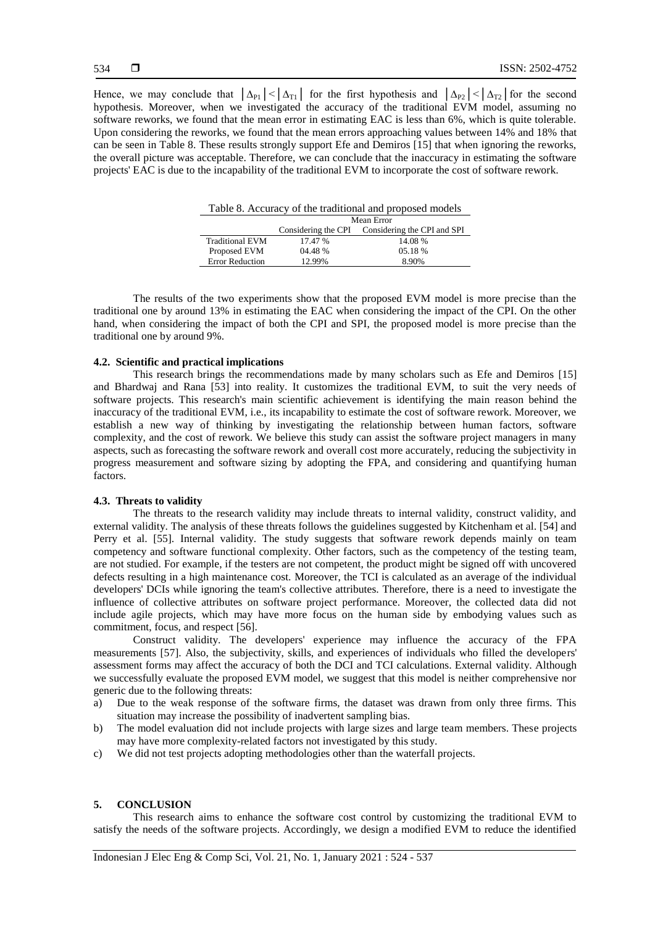Hence, we may conclude that  $|\Delta_{P1}| < |\Delta_{T1}|$  for the first hypothesis and  $|\Delta_{P2}| < |\Delta_{T2}|$  for the second hypothesis. Moreover, when we investigated the accuracy of the traditional EVM model, assuming no software reworks, we found that the mean error in estimating EAC is less than 6%, which is quite tolerable. Upon considering the reworks, we found that the mean errors approaching values between 14% and 18% that can be seen in Table 8. These results strongly support Efe and Demiros [15] that when ignoring the reworks, the overall picture was acceptable. Therefore, we can conclude that the inaccuracy in estimating the software projects' EAC is due to the incapability of the traditional EVM to incorporate the cost of software rework.

| Table 8. Accuracy of the traditional and proposed models |                                                 |         |  |  |  |
|----------------------------------------------------------|-------------------------------------------------|---------|--|--|--|
| Mean Error                                               |                                                 |         |  |  |  |
|                                                          | Considering the CPI Considering the CPI and SPI |         |  |  |  |
| <b>Traditional EVM</b>                                   | 17.47 %                                         | 14.08%  |  |  |  |
| Proposed EVM                                             | 04.48 %                                         | 05.18 % |  |  |  |
| <b>Error Reduction</b>                                   | 12.99%                                          | 8.90%   |  |  |  |

The results of the two experiments show that the proposed EVM model is more precise than the traditional one by around 13% in estimating the EAC when considering the impact of the CPI. On the other hand, when considering the impact of both the CPI and SPI, the proposed model is more precise than the traditional one by around 9%.

## **4.2. Scientific and practical implications**

This research brings the recommendations made by many scholars such as Efe and Demiros [15] and Bhardwaj and Rana [53] into reality. It customizes the traditional EVM, to suit the very needs of software projects. This research's main scientific achievement is identifying the main reason behind the inaccuracy of the traditional EVM, i.e., its incapability to estimate the cost of software rework. Moreover, we establish a new way of thinking by investigating the relationship between human factors, software complexity, and the cost of rework. We believe this study can assist the software project managers in many aspects, such as forecasting the software rework and overall cost more accurately, reducing the subjectivity in progress measurement and software sizing by adopting the FPA, and considering and quantifying human factors.

## **4.3. Threats to validity**

The threats to the research validity may include threats to internal validity, construct validity, and external validity. The analysis of these threats follows the guidelines suggested by Kitchenham et al. [54] and Perry et al. [55]. Internal validity. The study suggests that software rework depends mainly on team competency and software functional complexity. Other factors, such as the competency of the testing team, are not studied. For example, if the testers are not competent, the product might be signed off with uncovered defects resulting in a high maintenance cost. Moreover, the TCI is calculated as an average of the individual developers' DCIs while ignoring the team's collective attributes. Therefore, there is a need to investigate the influence of collective attributes on software project performance. Moreover, the collected data did not include agile projects, which may have more focus on the human side by embodying values such as commitment, focus, and respect [56].

Construct validity. The developers' experience may influence the accuracy of the FPA measurements [57]. Also, the subjectivity, skills, and experiences of individuals who filled the developers' assessment forms may affect the accuracy of both the DCI and TCI calculations. External validity. Although we successfully evaluate the proposed EVM model, we suggest that this model is neither comprehensive nor generic due to the following threats:

- a) Due to the weak response of the software firms, the dataset was drawn from only three firms. This situation may increase the possibility of inadvertent sampling bias.
- b) The model evaluation did not include projects with large sizes and large team members. These projects may have more complexity-related factors not investigated by this study.
- c) We did not test projects adopting methodologies other than the waterfall projects.

#### **5. CONCLUSION**

This research aims to enhance the software cost control by customizing the traditional EVM to satisfy the needs of the software projects. Accordingly, we design a modified EVM to reduce the identified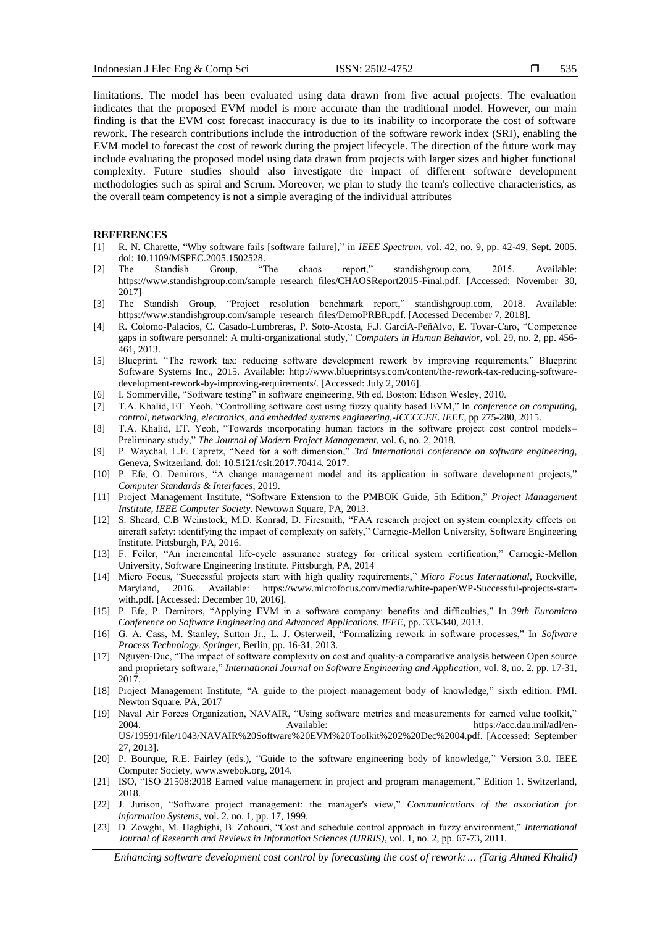limitations. The model has been evaluated using data drawn from five actual projects. The evaluation indicates that the proposed EVM model is more accurate than the traditional model. However, our main finding is that the EVM cost forecast inaccuracy is due to its inability to incorporate the cost of software rework. The research contributions include the introduction of the software rework index (SRI), enabling the EVM model to forecast the cost of rework during the project lifecycle. The direction of the future work may include evaluating the proposed model using data drawn from projects with larger sizes and higher functional complexity. Future studies should also investigate the impact of different software development methodologies such as spiral and Scrum. Moreover, we plan to study the team's collective characteristics, as the overall team competency is not a simple averaging of the individual attributes

## **REFERENCES**

- [1] R. N. Charette, "Why software fails [software failure]," in *IEEE Spectrum*, vol. 42, no. 9, pp. 42-49, Sept. 2005.
- doi: 10.1109/MSPEC.2005.1502528.<br>The Standish Group, "The [2] The Standish Group, "The chaos report," standishgroup.com, 2015. Available: https://www.standishgroup.com/sample\_research\_files/CHAOSReport2015-Final.pdf. [Accessed: November 30, 2017]
- [3] The Standish Group, "Project resolution benchmark report," standishgroup.com, 2018. Available: https://www.standishgroup.com/sample\_research\_files/DemoPRBR.pdf. [Accessed December 7, 2018].
- [4] R. Colomo-Palacios, C. Casado-Lumbreras, P. Soto-Acosta, F.J. GarcíA-PeñAlvo, E. Tovar-Caro, "Competence gaps in software personnel: A multi-organizational study," *Computers in Human Behavior*, vol. 29, no. 2, pp. 456- 461, 2013.
- [5] Blueprint, "The rework tax: reducing software development rework by improving requirements," Blueprint Software Systems Inc., 2015. Available: http://www.blueprintsys.com/content/the-rework-tax-reducing-softwaredevelopment-rework-by-improving-requirements/. [Accessed: July 2, 2016].
- [6] I. Sommerville, "Software testing" in software engineering, 9th ed. Boston: Edison Wesley, 2010.
- [7] T.A. Khalid, ET. Yeoh, "Controlling software cost using fuzzy quality based EVM," In *conference on computing, control, networking, electronics, and embedded systems engineering,-ICCCCEE. IEEE*, pp 275-280, 2015.
- [8] T.A. Khalid, ET. Yeoh, "Towards incorporating human factors in the software project cost control models– Preliminary study," *The Journal of Modern Project Management*, vol. 6, no. 2, 2018.
- [9] P. Waychal, L.F. Capretz, "Need for a soft dimension," *3rd International conference on software engineering*, Geneva, Switzerland. doi: 10.5121/csit.2017.70414, 2017.
- [10] P. Efe, O. Demirors, "A change management model and its application in software development projects," *Computer Standards & Interfaces*, 2019.
- [11] Project Management Institute, "Software Extension to the PMBOK Guide, 5th Edition," *Project Management Institute, IEEE Computer Society*. Newtown Square, PA, 2013.
- [12] S. Sheard, C.B Weinstock, M.D. Konrad, D. Firesmith, "FAA research project on system complexity effects on aircraft safety: identifying the impact of complexity on safety," Carnegie-Mellon University, Software Engineering Institute. Pittsburgh, PA, 2016.
- [13] F. Feiler, "An incremental life-cycle assurance strategy for critical system certification," Carnegie-Mellon University, Software Engineering Institute. Pittsburgh, PA, 2014
- [14] Micro Focus, "Successful projects start with high quality requirements," *Micro Focus International*, Rockville, Maryland, 2016. Available: https://www.microfocus.com/media/white-paper/WP-Successful-projects-startwith.pdf. [Accessed: December 10, 2016].
- [15] P. Efe, P. Demirors, "Applying EVM in a software company: benefits and difficulties," In *39th Euromicro Conference on Software Engineering and Advanced Applications. IEEE*, pp. 333-340, 2013.
- [16] G. A. Cass, M. Stanley, Sutton Jr., L. J. Osterweil, "Formalizing rework in software processes," In *Software Process Technology. Springer*, Berlin, pp. 16-31, 2013.
- [17] Nguyen-Duc, "The impact of software complexity on cost and quality-a comparative analysis between Open source and proprietary software," *International Journal on Software Engineering and Application*, vol. 8, no. 2, pp. 17-31, 2017.
- [18] Project Management Institute, "A guide to the project management body of knowledge," sixth edition. PMI. Newton Square, PA, 2017
- [19] Naval Air Forces Organization, NAVAIR, "Using software metrics and measurements for earned value toolkit," 2004. Available: https://acc.dau.mil/adl/en-US/19591/file/1043/NAVAIR%20Software%20EVM%20Toolkit%202%20Dec%2004.pdf. [Accessed: September 27, 2013].
- [20] P. Bourque, R.E. Fairley (eds.), "Guide to the software engineering body of knowledge," Version 3.0. IEEE Computer Society, www.swebok.org, 2014.
- [21] ISO, "ISO 21508:2018 Earned value management in project and program management," Edition 1. Switzerland, 2018.
- [22] J. Jurison, "Software project management: the manager's view," *Communications of the association for information Systems*, vol. 2, no. 1, pp. 17, 1999.
- [23] D. Zowghi, M. Haghighi, B. Zohouri, "Cost and schedule control approach in fuzzy environment," *International Journal of Research and Reviews in Information Sciences (IJRRIS)*, vol. 1, no. 2, pp. 67-73, 2011.

*Enhancing software development cost control by forecasting the cost of rework:… (Tarig Ahmed Khalid)*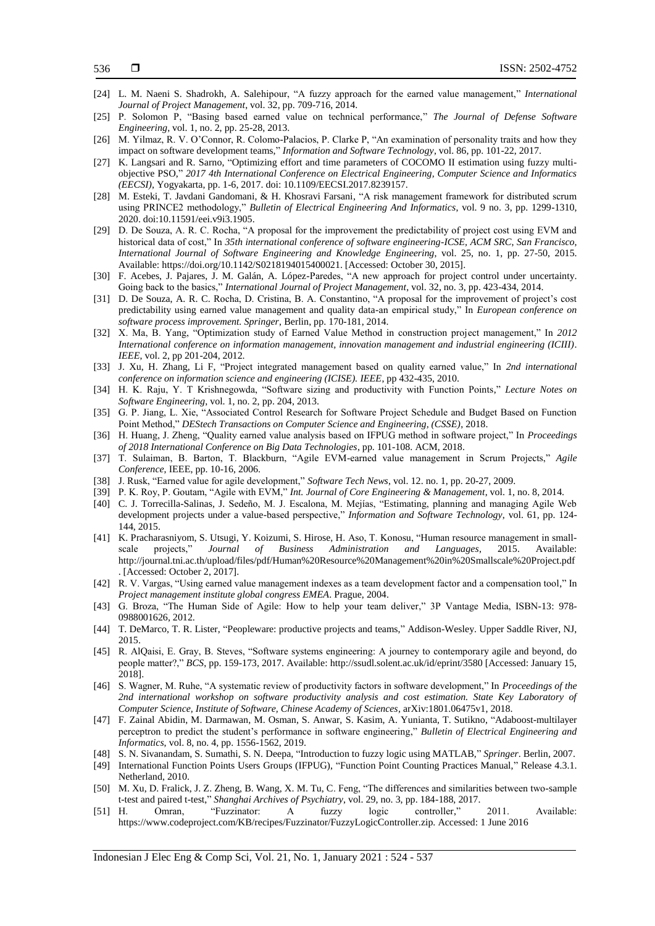- [24] L. M. Naeni S. Shadrokh, A. Salehipour, "A fuzzy approach for the earned value management," *International Journal of Project Management*, vol. 32, pp. 709-716, 2014.
- [25] P. Solomon P, "Basing based earned value on technical performance," *The Journal of Defense Software Engineering*, vol. 1, no. 2, pp. 25-28, 2013.
- [26] M. Yilmaz, R. V. O'Connor, R. Colomo-Palacios, P. Clarke P, "An examination of personality traits and how they impact on software development teams," *Information and Software Technology*, vol. 86, pp. 101-22, 2017.
- [27] K. Langsari and R. Sarno, "Optimizing effort and time parameters of COCOMO II estimation using fuzzy multiobjective PSO," *2017 4th International Conference on Electrical Engineering, Computer Science and Informatics (EECSI)*, Yogyakarta, pp. 1-6, 2017. doi: 10.1109/EECSI.2017.8239157.
- [28] M. Esteki, T. Javdani Gandomani, & H. Khosravi Farsani, "A risk management framework for distributed scrum using PRINCE2 methodology," *Bulletin of Electrical Engineering And Informatics*, vol. 9 no. 3, pp. 1299-1310, 2020. doi:10.11591/eei.v9i3.1905.
- [29] D. De Souza, A. R. C. Rocha, "A proposal for the improvement the predictability of project cost using EVM and historical data of cost," In *35th international conference of software engineering-ICSE, ACM SRC*, *San Francisco*, *International Journal of Software Engineering and Knowledge Engineering*, vol. 25, no. 1, pp. 27-50, 2015. Available: https://doi.org/10.1142/S0218194015400021. [Accessed: October 30, 2015].
- [30] F. Acebes, J. Pajares, J. M. Galán, A. López-Paredes, "A new approach for project control under uncertainty. Going back to the basics," *International Journal of Project Management*, vol. 32, no. 3, pp. 423-434, 2014.
- [31] D. De Souza, A. R. C. Rocha, D. Cristina, B. A. Constantino, "A proposal for the improvement of project's cost predictability using earned value management and quality data-an empirical study," In *European conference on software process improvement. Springer*, Berlin, pp. 170-181, 2014.
- [32] X. Ma, B. Yang, "Optimization study of Earned Value Method in construction project management," In *2012 International conference on information management, innovation management and industrial engineering (ICIII)*. *IEEE*, vol. 2, pp 201-204, 2012.
- [33] J. Xu, H. Zhang, Li F, "Project integrated management based on quality earned value," In *2nd international conference on information science and engineering (ICISE). IEEE*, pp 432-435, 2010.
- [34] H. K. Raju, Y. T Krishnegowda, "Software sizing and productivity with Function Points," *Lecture Notes on Software Engineering*, vol. 1, no. 2, pp. 204, 2013.
- [35] G. P. Jiang, L. Xie, "Associated Control Research for Software Project Schedule and Budget Based on Function Point Method," *DEStech Transactions on Computer Science and Engineering, (CSSE)*, 2018.
- [36] H. Huang, J. Zheng, "Quality earned value analysis based on IFPUG method in software project," In *Proceedings of 2018 International Conference on Big Data Technologies*, pp. 101-108. ACM, 2018.
- [37] T. Sulaiman, B. Barton, T. Blackburn, "Agile EVM-earned value management in Scrum Projects," *Agile Conference*, IEEE, pp. 10-16, 2006.
- [38] J. Rusk, "Earned value for agile development," *Software Tech News*, vol. 12. no. 1, pp. 20-27, 2009.
- [39] P. K. Roy, P. Goutam, "Agile with EVM," *Int. Journal of Core Engineering & Management*, vol. 1, no. 8, 2014.
- [40] C. J. Torrecilla-Salinas, J. Sedeño, M. J. Escalona, M. Mejías, "Estimating, planning and managing Agile Web development projects under a value-based perspective," *Information and Software Technology*, vol. 61, pp. 124- 144, 2015.
- [41] K. Pracharasniyom, S. Utsugi, Y. Koizumi, S. Hirose, H. Aso, T. Konosu, "Human resource management in smallscale projects," *Journal of Business Administration and Languages*, 2015. Available: http://journal.tni.ac.th/upload/files/pdf/Human%20Resource%20Management%20in%20Smallscale%20Project.pdf . [Accessed: October 2, 2017].
- [42] R. V. Vargas, "Using earned value management indexes as a team development factor and a compensation tool," In *Project management institute global congress EMEA*. Prague, 2004.
- [43] G. Broza, "The Human Side of Agile: How to help your team deliver," 3P Vantage Media, ISBN-13: 978- 0988001626, 2012.
- [44] T. DeMarco, T. R. Lister, "Peopleware: productive projects and teams," Addison-Wesley. Upper Saddle River, NJ, 2015.
- [45] R. AlQaisi, E. Gray, B. Steves, "Software systems engineering: A journey to contemporary agile and beyond, do people matter?," *BCS*, pp. 159-173, 2017. Available: http://ssudl.solent.ac.uk/id/eprint/3580 [Accessed: January 15, 2018].
- [46] S. Wagner, M. Ruhe, "A systematic review of productivity factors in software development," In *Proceedings of the 2nd international workshop on software productivity analysis and cost estimation. State Key Laboratory of Computer Science, Institute of Software, Chinese Academy of Sciences,* arXiv:1801.06475v1, 2018.
- [47] F. Zainal Abidin, M. Darmawan, M. Osman, S. Anwar, S. Kasim, A. Yunianta, T. Sutikno, "Adaboost-multilayer perceptron to predict the student's performance in software engineering," *Bulletin of Electrical Engineering and Informatics*, vol. 8, no. 4, pp. 1556-1562, 2019.
- [48] S. N. Sivanandam, S. Sumathi, S. N. Deepa, "Introduction to fuzzy logic using MATLAB," *Springer*. Berlin, 2007.
- [49] International Function Points Users Groups (IFPUG), "Function Point Counting Practices Manual," Release 4.3.1. Netherland, 2010.
- [50] M. Xu, D. Fralick, J. Z. Zheng, B. Wang, X. M. Tu, C. Feng, "The differences and similarities between two-sample t-test and paired t-test," *Shanghai Archives of Psychiatry*, vol. 29, no. 3, pp. 184-188, 2017.
- [51] H. Omran, "Fuzzinator: A fuzzy logic controller," 2011. Available: https://www.codeproject.com/KB/recipes/Fuzzinator/FuzzyLogicController.zip. Accessed: 1 June 2016